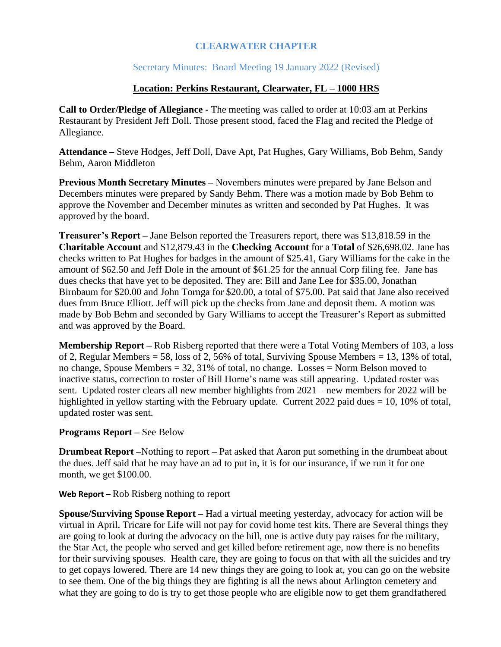## **CLEARWATER CHAPTER**

# Secretary Minutes: Board Meeting 19 January 2022 (Revised)

### **Location: Perkins Restaurant, Clearwater, FL – 1000 HRS**

**Call to Order/Pledge of Allegiance -** The meeting was called to order at 10:03 am at Perkins Restaurant by President Jeff Doll. Those present stood, faced the Flag and recited the Pledge of Allegiance.

**Attendance –** Steve Hodges, Jeff Doll, Dave Apt, Pat Hughes, Gary Williams, Bob Behm, Sandy Behm, Aaron Middleton

**Previous Month Secretary Minutes –** Novembers minutes were prepared by Jane Belson and Decembers minutes were prepared by Sandy Behm. There was a motion made by Bob Behm to approve the November and December minutes as written and seconded by Pat Hughes. It was approved by the board.

**Treasurer's Report –** Jane Belson reported the Treasurers report, there was \$13,818.59 in the **Charitable Account** and \$12,879.43 in the **Checking Account** for a **Total** of \$26,698.02. Jane has checks written to Pat Hughes for badges in the amount of \$25.41, Gary Williams for the cake in the amount of \$62.50 and Jeff Dole in the amount of \$61.25 for the annual Corp filing fee. Jane has dues checks that have yet to be deposited. They are: Bill and Jane Lee for \$35.00, Jonathan Birnbaum for \$20.00 and John Tornga for \$20.00, a total of \$75.00. Pat said that Jane also received dues from Bruce Elliott. Jeff will pick up the checks from Jane and deposit them. A motion was made by Bob Behm and seconded by Gary Williams to accept the Treasurer's Report as submitted and was approved by the Board.

**Membership Report –** Rob Risberg reported that there were a Total Voting Members of 103, a loss of 2, Regular Members = 58, loss of 2, 56% of total, Surviving Spouse Members = 13, 13% of total, no change, Spouse Members = 32, 31% of total, no change. Losses = Norm Belson moved to inactive status, correction to roster of Bill Horne's name was still appearing. Updated roster was sent. Updated roster clears all new member highlights from 2021 – new members for 2022 will be highlighted in yellow starting with the February update. Current 2022 paid dues  $= 10$ , 10% of total, updated roster was sent.

#### **Programs Report –** See Below

**Drumbeat Report –**Nothing to report **–** Pat asked that Aaron put something in the drumbeat about the dues. Jeff said that he may have an ad to put in, it is for our insurance, if we run it for one month, we get \$100.00.

#### **Web Report –** Rob Risberg nothing to report

**Spouse/Surviving Spouse Report –** Had a virtual meeting yesterday, advocacy for action will be virtual in April. Tricare for Life will not pay for covid home test kits. There are Several things they are going to look at during the advocacy on the hill, one is active duty pay raises for the military, the Star Act, the people who served and get killed before retirement age, now there is no benefits for their surviving spouses. Health care, they are going to focus on that with all the suicides and try to get copays lowered. There are 14 new things they are going to look at, you can go on the website to see them. One of the big things they are fighting is all the news about Arlington cemetery and what they are going to do is try to get those people who are eligible now to get them grandfathered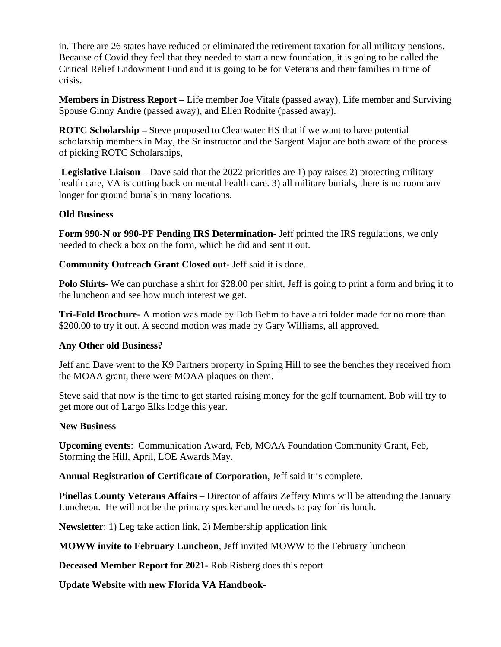in. There are 26 states have reduced or eliminated the retirement taxation for all military pensions. Because of Covid they feel that they needed to start a new foundation, it is going to be called the Critical Relief Endowment Fund and it is going to be for Veterans and their families in time of crisis.

**Members in Distress Report –** Life member Joe Vitale (passed away), Life member and Surviving Spouse Ginny Andre (passed away), and Ellen Rodnite (passed away).

**ROTC Scholarship –** Steve proposed to Clearwater HS that if we want to have potential scholarship members in May, the Sr instructor and the Sargent Major are both aware of the process of picking ROTC Scholarships,

**Legislative Liaison –** Dave said that the 2022 priorities are 1) pay raises 2) protecting military health care, VA is cutting back on mental health care. 3) all military burials, there is no room any longer for ground burials in many locations.

### **Old Business**

**Form 990-N or 990-PF Pending IRS Determination**- Jeff printed the IRS regulations, we only needed to check a box on the form, which he did and sent it out.

**Community Outreach Grant Closed out**- Jeff said it is done.

**Polo Shirts**- We can purchase a shirt for \$28.00 per shirt, Jeff is going to print a form and bring it to the luncheon and see how much interest we get.

**Tri-Fold Brochure-** A motion was made by Bob Behm to have a tri folder made for no more than \$200.00 to try it out. A second motion was made by Gary Williams, all approved.

# **Any Other old Business?**

Jeff and Dave went to the K9 Partners property in Spring Hill to see the benches they received from the MOAA grant, there were MOAA plaques on them.

Steve said that now is the time to get started raising money for the golf tournament. Bob will try to get more out of Largo Elks lodge this year.

### **New Business**

**Upcoming events**: Communication Award, Feb, MOAA Foundation Community Grant, Feb, Storming the Hill, April, LOE Awards May.

**Annual Registration of Certificate of Corporation**, Jeff said it is complete.

**Pinellas County Veterans Affairs** – Director of affairs Zeffery Mims will be attending the January Luncheon. He will not be the primary speaker and he needs to pay for his lunch.

**Newsletter**: 1) Leg take action link, 2) Membership application link

**MOWW invite to February Luncheon**, Jeff invited MOWW to the February luncheon

**Deceased Member Report for 2021-** Rob Risberg does this report

**Update Website with new Florida VA Handbook-**